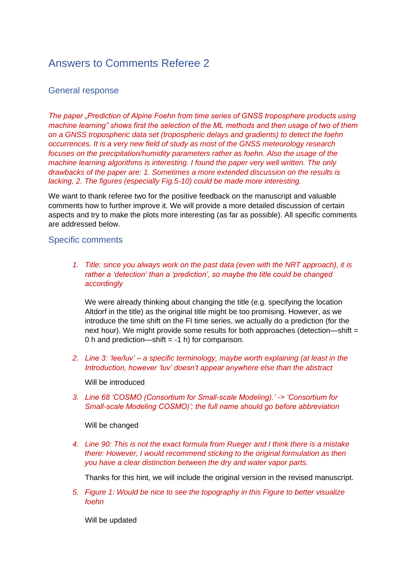## Answers to Comments Referee 2

## General response

*The paper "Prediction of Alpine Foehn from time series of GNSS troposphere products using machine learning" shows first the selection of the ML methods and then usage of two of them on a GNSS tropospheric data set (tropospheric delays and gradients) to detect the foehn occurrences. It is a very new field of study as most of the GNSS meteorology research focuses on the precipitation/humidity parameters rather as foehn. Also the usage of the machine learning algorithms is interesting. I found the paper very well written. The only drawbacks of the paper are: 1. Sometimes a more extended discussion on the results is lacking, 2. The figures (especially Fig.5-10) could be made more interesting.*

We want to thank referee two for the positive feedback on the manuscript and valuable comments how to further improve it. We will provide a more detailed discussion of certain aspects and try to make the plots more interesting (as far as possible). All specific comments are addressed below.

## Specific comments

*1. Title: since you always work on the past data (even with the NRT approach), it is rather a 'detection' than a 'prediction', so maybe the title could be changed accordingly*

We were already thinking about changing the title (e.g. specifying the location Altdorf in the title) as the original title might be too promising. However, as we introduce the time shift on the FI time series, we actually do a prediction (for the next hour). We might provide some results for both approaches (detection—shift  $=$ 0 h and prediction—shift  $= -1$  h) for comparison.

*2. Line 3: 'lee/luv' – a specific terminology, maybe worth explaining (at least in the Introduction, however 'luv' doesn't appear anywhere else than the abstract*

Will be introduced

*3. Line 68 'COSMO (Consortium for Small-scale Modeling).' -> 'Consortium for Small-scale Modeling COSMO)'; the full name should go before abbreviation*

Will be changed

*4. Line 90: This is not the exact formula from Rueger and I think there is a mistake there: However, I would recommend sticking to the original formulation as then you have a clear distinction between the dry and water vapor parts.*

Thanks for this hint, we will include the original version in the revised manuscript.

*5. Figure 1: Would be nice to see the topography in this Figure to better visualize foehn*

Will be updated